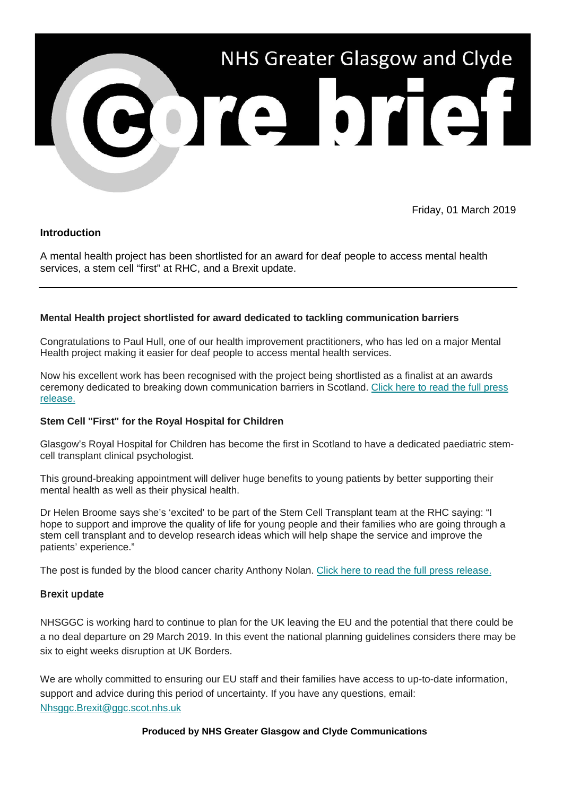

Friday, 01 March 2019

## **Introduction**

A mental health project has been shortlisted for an award for deaf people to access mental health services, a stem cell "first" at RHC, and a Brexit update.

### **Mental Health project shortlisted for award dedicated to tackling communication barriers**

Congratulations to Paul Hull, one of our health improvement practitioners, who has led on a major Mental Health project making it easier for deaf people to access mental health services.

Now his excellent work has been recognised with the project being shortlisted as a finalist at an awards ceremony dedicated to breaking down communication barriers in Scotland. Click here to read the full press [release.](https://nhsggc.us12.list-manage.com/track/click?u=0f385b5aea37eaf0213bd19fb&id=372579c6a8&e=5af5e1832c)

### **Stem Cell "First" for the Royal Hospital for Children**

Glasgow's Royal Hospital for Children has become the first in Scotland to have a dedicated paediatric stemcell transplant clinical psychologist.

This ground-breaking appointment will deliver huge benefits to young patients by better supporting their mental health as well as their physical health.

Dr Helen Broome says she's 'excited' to be part of the Stem Cell Transplant team at the RHC saying: "I hope to support and improve the quality of life for young people and their families who are going through a stem cell transplant and to develop research ideas which will help shape the service and improve the patients' experience."

The post is funded by the blood cancer charity Anthony Nolan. [Click here to read the full press release.](https://nhsggc.us12.list-manage.com/track/click?u=0f385b5aea37eaf0213bd19fb&id=ff7d677a3d&e=5af5e1832c)

### Brexit update

NHSGGC is working hard to continue to plan for the UK leaving the EU and the potential that there could be a no deal departure on 29 March 2019. In this event the national planning guidelines considers there may be six to eight weeks disruption at UK Borders.

We are wholly committed to ensuring our EU staff and their families have access to up-to-date information, support and advice during this period of uncertainty. If you have any questions, email: [Nhsggc.Brexit@ggc.scot.nhs.uk](mailto:Nhsggc.Brexit@ggc.scot.nhs.uk)

**Produced by NHS Greater Glasgow and Clyde Communications**